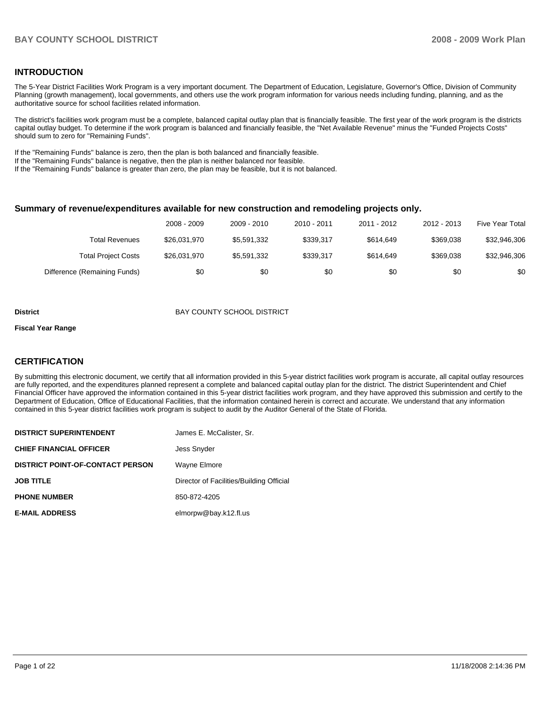# **INTRODUCTION**

The 5-Year District Facilities Work Program is a very important document. The Department of Education, Legislature, Governor's Office, Division of Community Planning (growth management), local governments, and others use the work program information for various needs including funding, planning, and as the authoritative source for school facilities related information.

 The district's facilities work program must be a complete, balanced capital outlay plan that is financially feasible. The first year of the work program is the districts capital outlay budget. To determine if the work program is balanced and financially feasible, the "Net Available Revenue" minus the "Funded Projects Costs" should sum to zero for "Remaining Funds".

If the "Remaining Funds" balance is zero, then the plan is both balanced and financially feasible.

If the "Remaining Funds" balance is negative, then the plan is neither balanced nor feasible.

If the "Remaining Funds" balance is greater than zero, the plan may be feasible, but it is not balanced.

### **Summary of revenue/expenditures available for new construction and remodeling projects only.**

|                              | 2008 - 2009  | 2009 - 2010 | 2010 - 2011 | 2011 - 2012 | 2012 - 2013 | <b>Five Year Total</b> |
|------------------------------|--------------|-------------|-------------|-------------|-------------|------------------------|
| Total Revenues               | \$26,031,970 | \$5.591.332 | \$339.317   | \$614.649   | \$369.038   | \$32,946,306           |
| <b>Total Project Costs</b>   | \$26.031.970 | \$5.591.332 | \$339.317   | \$614.649   | \$369.038   | \$32.946.306           |
| Difference (Remaining Funds) | \$0          | \$0         | \$0         | \$0         | \$0         | \$0                    |

### **District District BAY COUNTY SCHOOL DISTRICT**

#### **Fiscal Year Range**

# **CERTIFICATION**

By submitting this electronic document, we certify that all information provided in this 5-year district facilities work program is accurate, all capital outlay resources are fully reported, and the expenditures planned represent a complete and balanced capital outlay plan for the district. The district Superintendent and Chief Financial Officer have approved the information contained in this 5-year district facilities work program, and they have approved this submission and certify to the Department of Education, Office of Educational Facilities, that the information contained herein is correct and accurate. We understand that any information contained in this 5-year district facilities work program is subject to audit by the Auditor General of the State of Florida.

| <b>DISTRICT SUPERINTENDENT</b>          | James E. McCalister, Sr.                 |
|-----------------------------------------|------------------------------------------|
| <b>CHIEF FINANCIAL OFFICER</b>          | <b>Jess Snyder</b>                       |
| <b>DISTRICT POINT-OF-CONTACT PERSON</b> | Wayne Elmore                             |
| <b>JOB TITLE</b>                        | Director of Facilities/Building Official |
| <b>PHONE NUMBER</b>                     | 850-872-4205                             |
| <b>E-MAIL ADDRESS</b>                   | elmorpw@bay.k12.fl.us                    |